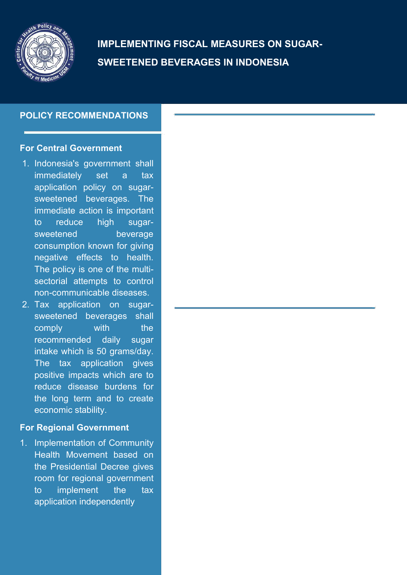

**IMPLEMENTING FISCAL MEASURES ON SUGAR- SWEETENED BEVERAGES IN INDONESIA**

# **POLICY RECOMMENDATIONS**

### **For Central Government**

- 1. Indonesia's government shall immediately set a tax application policy on sugar sweetened beverages. The immediate action is important to reduce high sugar sweetened beverage consumption known for giving negative effects to health. The policy is one of the multi sectorial attempts to control non-communicable diseases.
- 2. Tax application on sugar sweetened beverages shall comply with the recommended daily sugar intake which is 50 grams/day. The tax application gives positive impacts which are to reduce disease burdens for the long term and to create economic stability.

## **For Regional Government**

1. Implementation of Community Health Movement based on the Presidential Decree gives room for regional government to implement the tax application independently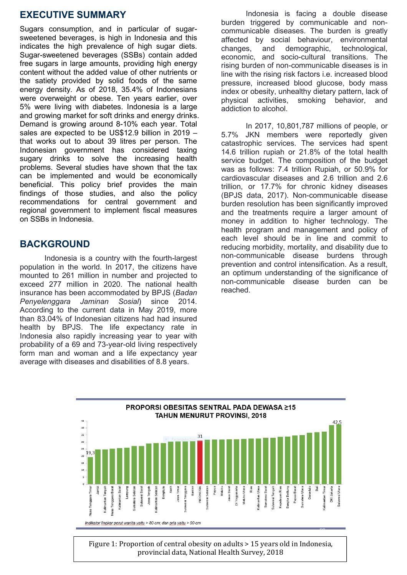# **EXECUTIVE SUMMARY**

Sugars consumption, and in particular of sugar sweetened beverages, is high in Indonesia and this indicates the high prevalence of high sugar diets. Sugar-sweetened beverages (SSBs) contain added free sugars in large amounts, providing high energy content without the added value of other nutrients or the satiety provided by solid foods of the same energy density. As of 2018, 35.4% of Indonesians were overweight or obese. Ten years earlier, over bring physical activities, 5% were living with diabetes. Indonesia is a large and growing market for soft drinks and energy drinks. Demand is growing around 8-10% each year. Total sales are expected to be US\$12.9 billion in 2019 – that works out to about 39 litres per person. The Indonesian government has considered taxing sugary drinks to solve the increasing health problems. Several studies have shown that the tax can be implemented and would be economically beneficial. This policy brief provides the main findings of those studies, and also the policy recommendations for central government and regional government to implement fiscal measures on SSBs in Indonesia.

# **BACKGROUND**

Indonesia is a country with the fourth-largest population in the world. In 2017, the citizens have mounted to 261 million in number and projected to exceed 277 million in 2020. The national health insurance has been accommodated by BPJS (*Badan Penyelenggara Jaminan Sosial*) since 2014. According to the current data in May 2019, more than 83.04% of Indonesian citizens had had insured health by BPJS. The life expectancy rate in Indonesia also rapidly increasing year to year with probability of a 69 and 73-year-old living respectively form man and woman and a life expectancy year average with diseases and disabilities of 8.8 years.

Indonesia is facing a double disease burden triggered by communicable and non communicable diseases. The burden is greatly affected by social behaviour, environmental and demographic, technological, economic, and socio-cultural transitions. The rising burden of non-communicable diseases is in line with the rising risk factors i.e. increased blood pressure, increased blood glucose, body mass index or obesity, unhealthy dietary pattern, lack of smoking behavior, and addiction to alcohol.

In 2017, 10,801,787 millions of people, or 5.7% JKN members were reportedly given catastrophic services. The services had spent 14.6 trillion rupiah or 21.8% of the total health service budget. The composition of the budget was as follows: 7.4 trillion Rupiah, or 50.9% for cardiovascular diseases and 2.6 trillion and 2.6 trillion, or 17.7% for chronic kidney diseases (BPJS data, 2017). Non-communicable disease burden resolution has been significantly improved and the treatments require a larger amount of money in addition to higher technology. The health program and management and policy of each level should be in line and commit to reducing morbidity, mortality, and disability due to non-communicable disease burdens through prevention and control intensification. As a result, an optimum understanding of the significance of non-communicable disease burden can be reached.



Figure 1: Proportion of central obesity on adults > 15 years old in Indonesia, provincial data, National Health Survey, 2018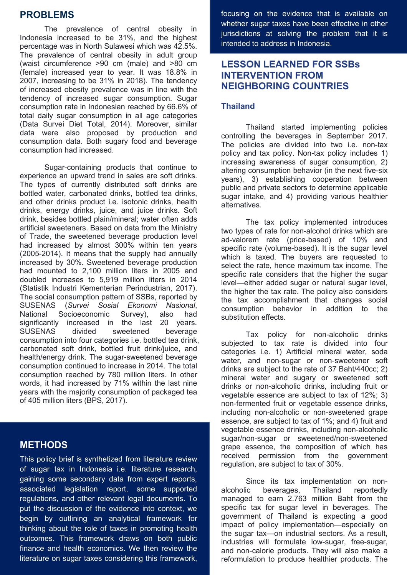### **PROBLEMS**

The prevalence of central obesity in Indonesia increased to be 31%, and the highest percentage was in North Sulawesi which was 42.5%. The prevalence of central obesity in adult group (waist circumference >90 cm (male) and >80 cm (female) increased year to year. It was 18.8% in 2007, increasing to be 31% in 2018). The tendency of increased obesity prevalence was in line with the tendency of increased sugar consumption. Sugar consumption rate in Indonesian reached by 66.6% of total daily sugar consumption in all age categories (Data Survei Diet Total, 2014). Moreover, similar data were also proposed by production and consumption data. Both sugary food and beverage consumption had increased.

Sugar-containing products that continue to experience an upward trend in sales are soft drinks. The types of currently distributed soft drinks are bottled water, carbonated drinks, bottled tea drinks, and other drinks product i.e. isotonic drinks, health drinks, energy drinks, juice, and juice drinks. Soft drink, besides bottled plain/mineral; water often adds artificial sweeteners. Based on data from the Ministry of Trade, the sweetened beverage production level had increased by almost 300% within ten years (2005-2014). It means that the supply had annually increased by 30%. Sweetened beverage production had mounted to 2,100 million liters in 2005 and doubled increases to 5,919 million liters in 2014 (Statistik Industri Kementerian Perindustrian, 2017). The social consumption pattern of SSBs, reported by SUSENAS (*Survei Sosial Ekonomi Nasional*, National Socioeconomic Survey), also had significantly increased in the last 20 years. SUSENAS divided sweetened beverage consumption into four categories i.e. bottled tea drink, carbonated soft drink, bottled fruit drink/juice, and health/energy drink. The sugar-sweetened beverage consumption continued to increase in 2014. The total consumption reached by 780 million liters. In other words, it had increased by 71% within the last nine years with the majority consumption of packaged tea of 405 million liters (BPS,2017).

### **METHODS**

This policy brief is synthetized from literature review of sugar tax in Indonesia i.e. literature research, gaining some secondary data from expert reports, associated legislation report, some supported regulations, and other relevant legal documents. To put the discussion of the evidence into context, we begin by outlining an analytical framework for thinking about the role of taxes in promoting health outcomes. This framework draws on both public finance and health economics. We then review the literature on sugar taxes considering this framework, focusing on the evidence that is available on whether sugar taxes have been effective in other jurisdictions at solving the problem that it is intended to address in Indonesia.

## **LESSON LEARNED FOR SSBs INTERVENTION FROM NEIGHBORING COUNTRIES**

#### **Thailand**

Thailand started implementing policies controlling the beverages in September 2017. The policies are divided into two i.e. non-tax policy and tax policy. Non-tax policy includes 1) increasing awareness of sugar consumption, 2) altering consumption behavior (in the next five-six years), 3) establishing cooperation between public and private sectors to determine applicable sugar intake, and 4) providing various healthier alternatives.

The tax policy implemented introduces two types of rate for non-alcohol drinks which are ad-valorem rate (price-based) of 10% and specific rate (volume-based). It is the sugar level which is taxed. The buyers are requested to select the rate, hence maximum tax income. The specific rate considers that the higher the sugar level—either added sugar or natural sugar level, the higher the tax rate. The policy also considers the tax accomplishment that changes social consumption behavior in addition to the substitution effects.

Tax policy for non-alcoholic drinks subjected to tax rate is divided into four categories i.e. 1) Artificial mineral water, soda water, and non-sugar or non-sweetener soft drinks are subject to the rate of 37 Baht/440cc; 2) mineral water and sugary or sweetened soft drinks or non-alcoholic drinks, including fruit or vegetable essence are subject to tax of 12%; 3) non-fermented fruit or vegetable essence drinks, including non-alcoholic or non-sweetened grape essence, are subject to tax of 1%; and 4) fruit and vegetable essence drinks, including non-alcoholic sugar/non-sugar or sweetened/non-sweetened grape essence, the composition of which has received permission from the government regulation, are subject to tax of 30%.

Since its tax implementation on non alcoholic beverages, Thailand reportedly managed to earn 2.763 million Baht from the specific tax for sugar level in beverages. The government of Thailand is expecting a good impact of policy implementation—especially on the sugar tax—on industrial sectors. As a result, industries will formulate low-sugar, free-sugar, and non-calorie products. They will also make a reformulation to produce healthier products. The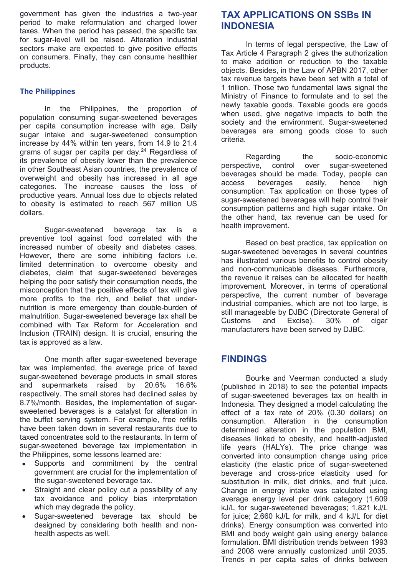government has given the industries a two-year period to make reformulation and charged lower taxes. When the period has passed, the specific tax for sugar-level will be raised. Alteration industrial sectors make are expected to give positive effects on consumers. Finally, they can consume healthier products.

#### **The Philippines**

In the Philippines, the proportion of population consuming sugar-sweetened beverages per capita consumption increase with age. Daily sugar intake and sugar-sweetened consumption beverage increase by 44% within ten years, from 14.9 to 21.4 grams of sugar per capita per day.<sup>24</sup> Regardless of Regarding its prevalence of obesity lower than the prevalence<br>in the prevalence perspective, control in other Southeast Asian countries, the prevalence of overweight and obesity has increased in all age beverage categories. The increase causes the loss of productive years. Annual loss due to objects related to obesity is estimated to reach 567 million US

dollars.<br>,the other hand<br>Sugar-sweetened beverage tax is a health improvem preventive tool against food correlated with the increased number of obesity and diabetes cases. However, there are some inhibiting factors i.e. limited determination to overcome obesity and diabetes, claim that sugar-sweetened beverages helping the poor satisfy their consumption needs, the misconception that the positive effects of tax will give more profits to the rich, and belief that under nutrition is more emergency than double-burden of malnutrition. Sugar-sweetened beverage tax shall be sull manageable<br>Customs and combined with Tax Reform for Acceleration and Inclusion (TRAIN) design. It is crucial, ensuring the tax is approved as a law.

One month after sugar-sweetened beverage tax was implemented, the average price of taxed sugar-sweetened beverage products in small stores and supermarkets raised by 20.6% 16.6% (published in 2018) to see the potential impacts respectively. The small stores had declined sales by 8.7%/month. Besides, the implementation of sugar sweetened beverages is a catalyst for alteration in the buffet serving system. For example, free refills have been taken down in several restaurants due to taxed concentrates sold to the restaurants. In term of sugar-sweetened beverage tax implementation in the Philippines, some lessons learned are:

- Supports and commitment by the central government are crucial for the implementation of the sugar-sweetened beverage tax.
- Straight and clear policy cut a possibility of any tax avoidance and policy bias interpretation which may degrade the policy.
- Sugar-sweetened beverage tax should be designed by considering both health and non health aspects as well.

## **TAX APPLICATIONS ON SSBs IN INDONESIA**

In terms of legal perspective, the Law of Tax Article 4 Paragraph 2 gives the authorization to make addition or reduction to the taxable objects. Besides, in the Law of APBN 2017, other tax revenue targets have been set with a total of 1 trillion. Those two fundamental laws signal the Ministry of Finance to formulate and to set the newly taxable goods. Taxable goods are goods when used, give negative impacts to both the society and the environment. Sugar-sweetened beverages are among goods close to such

criteria.<br>Regarding the socio-economic over sugar-sweetened beverages should be made. Today, people can beverages easily, hence high consumption. Tax application on those types of sugar-sweetened beverages will help control their consumption patterns and high sugar intake. On the other hand, tax revenue can be used for health improvement.

Based on best practice, tax application on sugar-sweetened beverages in several countries has illustrated various benefits to control obesity and non-communicable diseases. Furthermore, the revenue it raises can be allocated for health improvement. Moreover, in terms of operational perspective, the current number of beverage industrial companies, which are not too large, is still manageable by DJBC (Directorate General of Customs and Excise). 30% of cigar manufacturers have been served by DJBC.

### **FINDINGS**

Bourke and Veerman conducted a study of sugar-sweetened beverages tax on health in Indonesia. They designed a model calculating the effect of a tax rate of 20% (0.30 dollars) on consumption. Alteration in the consumption determined alteration in the population BMI, diseases linked to obesity, and health-adjusted life years (HALYs). The price change was converted into consumption change using price elasticity (the elastic price of sugar-sweetened beverage and cross-price elasticity used for substitution in milk, diet drinks, and fruit juice. Change in energy intake was calculated using average energy level per drink category (1,609 kJ/L for sugar-sweetened beverages; 1,821 kJ/L for juice; 2,660 kJ/L for milk, and 4 kJ/L for diet drinks). Energy consumption was converted into BMI and body weight gain using energy balance formulation. BMI distribution trends between 1993 and 2008 were annually customized until 2035.<br>Trends in per capita sales of drinks between